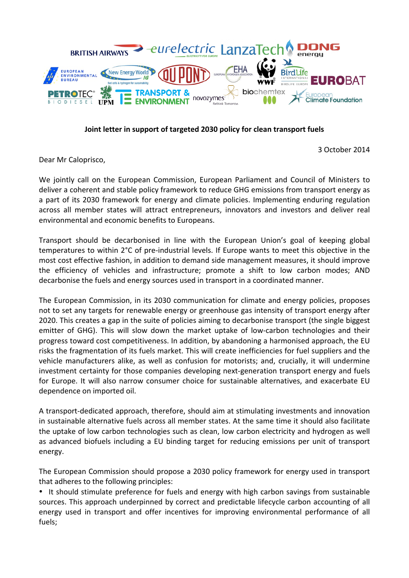

## Joint letter in support of targeted 2030 policy for clean transport fuels

3 October 2014

Dear Mr Caloprisco,

We jointly call on the European Commission, European Parliament and Council of Ministers to deliver a coherent and stable policy framework to reduce GHG emissions from transport energy as a part of its 2030 framework for energy and climate policies. Implementing enduring regulation across all member states will attract entrepreneurs, innovators and investors and deliver real environmental and economic benefits to Europeans.

Transport should be decarbonised in line with the European Union's goal of keeping global temperatures to within 2°C of pre-industrial levels. If Europe wants to meet this objective in the most cost effective fashion, in addition to demand side management measures, it should improve the efficiency of vehicles and infrastructure; promote a shift to low carbon modes; AND decarbonise the fuels and energy sources used in transport in a coordinated manner.

The European Commission, in its 2030 communication for climate and energy policies, proposes not to set any targets for renewable energy or greenhouse gas intensity of transport energy after 2020. This creates a gap in the suite of policies aiming to decarbonise transport (the single biggest emitter of GHG). This will slow down the market uptake of low-carbon technologies and their progress toward cost competitiveness. In addition, by abandoning a harmonised approach, the EU risks the fragmentation of its fuels market. This will create inefficiencies for fuel suppliers and the vehicle manufacturers alike, as well as confusion for motorists; and, crucially, it will undermine investment certainty for those companies developing next-generation transport energy and fuels for Europe. It will also narrow consumer choice for sustainable alternatives, and exacerbate EU dependence on imported oil.

A transport-dedicated approach, therefore, should aim at stimulating investments and innovation in sustainable alternative fuels across all member states. At the same time it should also facilitate the uptake of low carbon technologies such as clean, low carbon electricity and hydrogen as well as advanced biofuels including a EU binding target for reducing emissions per unit of transport energy.

The European Commission should propose a 2030 policy framework for energy used in transport that adheres to the following principles:

• It should stimulate preference for fuels and energy with high carbon savings from sustainable sources. This approach underpinned by correct and predictable lifecycle carbon accounting of all energy used in transport and offer incentives for improving environmental performance of all fuels;